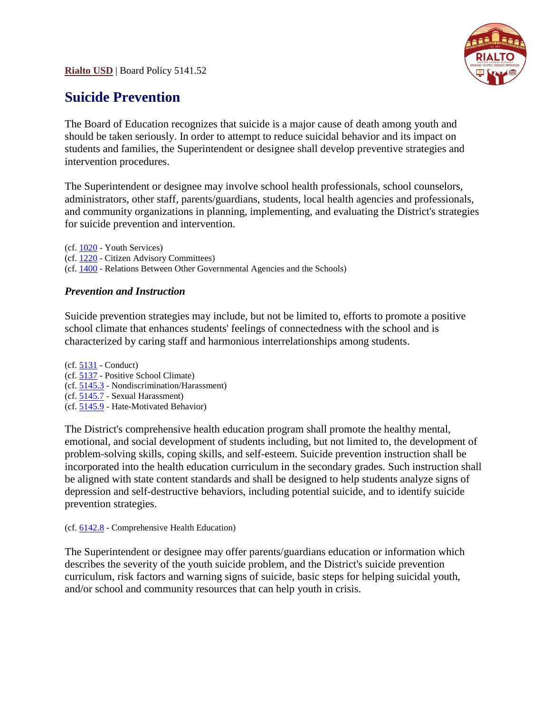**Rialto USD** | Board Policy 5141.52



## **Suicide Prevention**

The Board of Education recognizes that suicide is a major cause of death among youth and should be taken seriously. In order to attempt to reduce suicidal behavior and its impact on students and families, the Superintendent or designee shall develop preventive strategies and intervention procedures.

The Superintendent or designee may involve school health professionals, school counselors, administrators, other staff, parents/guardians, students, local health agencies and professionals, and community organizations in planning, implementing, and evaluating the District's strategies for suicide prevention and intervention.

(cf. [1020](http://www.gamutonline.net/district/whart/displayPolicy/206555/) - Youth Services) (cf. [1220](http://www.gamutonline.net/district/whart/displayPolicy/384641/) - Citizen Advisory Committees) (cf. [1400](http://www.gamutonline.net/district/whart/displayPolicy/206590/) - Relations Between Other Governmental Agencies and the Schools)

## *Prevention and Instruction*

Suicide prevention strategies may include, but not be limited to, efforts to promote a positive school climate that enhances students' feelings of connectedness with the school and is characterized by caring staff and harmonious interrelationships among students.

(cf. [5131](http://www.gamutonline.net/district/whart/displayPolicy/956266/) - Conduct) (cf. [5137](http://www.gamutonline.net/district/whart/displayPolicy/207016/) - Positive School Climate) (cf. [5145.3](http://www.gamutonline.net/district/whart/displayPolicy/207063/) - Nondiscrimination/Harassment) (cf. [5145.7](http://www.gamutonline.net/district/whart/displayPolicy/207065/) - Sexual Harassment) (cf. [5145.9](http://www.gamutonline.net/district/whart/displayPolicy/604706/) - Hate-Motivated Behavior)

The District's comprehensive health education program shall promote the healthy mental, emotional, and social development of students including, but not limited to, the development of problem-solving skills, coping skills, and self-esteem. Suicide prevention instruction shall be incorporated into the health education curriculum in the secondary grades. Such instruction shall be aligned with state content standards and shall be designed to help students analyze signs of depression and self-destructive behaviors, including potential suicide, and to identify suicide prevention strategies.

(cf. [6142.8](http://www.gamutonline.net/district/whart/displayPolicy/207106/) - Comprehensive Health Education)

The Superintendent or designee may offer parents/guardians education or information which describes the severity of the youth suicide problem, and the District's suicide prevention curriculum, risk factors and warning signs of suicide, basic steps for helping suicidal youth, and/or school and community resources that can help youth in crisis.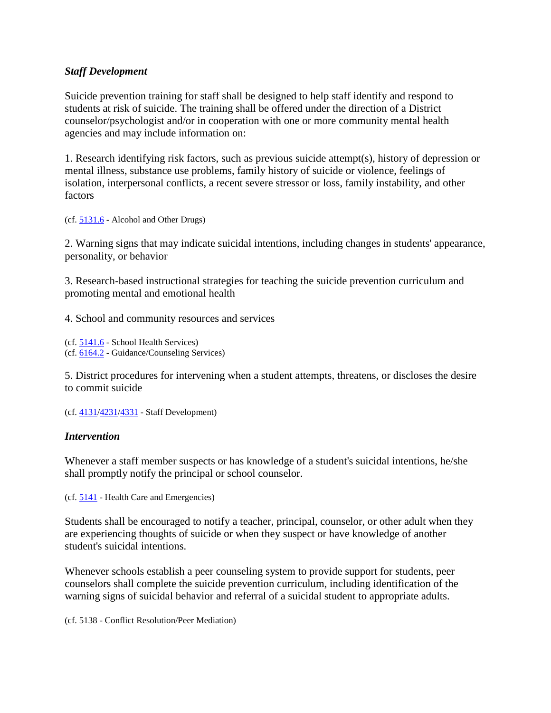## *Staff Development*

Suicide prevention training for staff shall be designed to help staff identify and respond to students at risk of suicide. The training shall be offered under the direction of a District counselor/psychologist and/or in cooperation with one or more community mental health agencies and may include information on:

1. Research identifying risk factors, such as previous suicide attempt(s), history of depression or mental illness, substance use problems, family history of suicide or violence, feelings of isolation, interpersonal conflicts, a recent severe stressor or loss, family instability, and other factors

(cf. [5131.6](http://www.gamutonline.net/district/whart/displayPolicy/659791/) - Alcohol and Other Drugs)

2. Warning signs that may indicate suicidal intentions, including changes in students' appearance, personality, or behavior

3. Research-based instructional strategies for teaching the suicide prevention curriculum and promoting mental and emotional health

4. School and community resources and services

```
(cf. 5141.6 - School Health Services)
(cf. 6164.2 - Guidance/Counseling Services)
```
5. District procedures for intervening when a student attempts, threatens, or discloses the desire to commit suicide

```
(cf. 4131/4231/4331 - Staff Development)
```
## *Intervention*

Whenever a staff member suspects or has knowledge of a student's suicidal intentions, he/she shall promptly notify the principal or school counselor.

(cf. [5141](http://www.gamutonline.net/district/whart/displayPolicy/659793/) - Health Care and Emergencies)

Students shall be encouraged to notify a teacher, principal, counselor, or other adult when they are experiencing thoughts of suicide or when they suspect or have knowledge of another student's suicidal intentions.

Whenever schools establish a peer counseling system to provide support for students, peer counselors shall complete the suicide prevention curriculum, including identification of the warning signs of suicidal behavior and referral of a suicidal student to appropriate adults.

(cf. 5138 - Conflict Resolution/Peer Mediation)